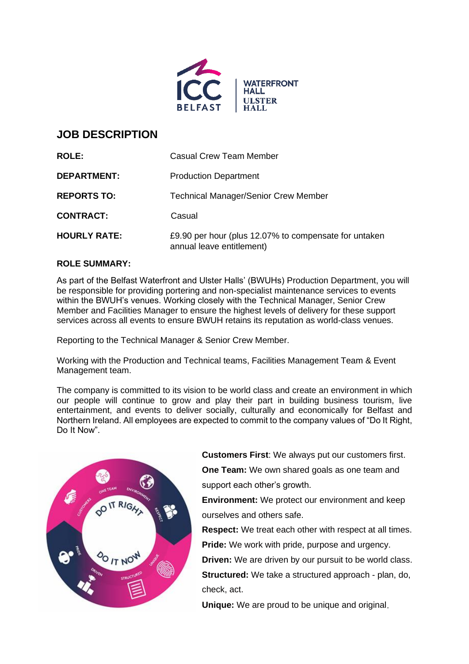

# **JOB DESCRIPTION**

| <b>ROLE:</b>        | <b>Casual Crew Team Member</b>                                                     |
|---------------------|------------------------------------------------------------------------------------|
| <b>DEPARTMENT:</b>  | <b>Production Department</b>                                                       |
| <b>REPORTS TO:</b>  | <b>Technical Manager/Senior Crew Member</b>                                        |
| <b>CONTRACT:</b>    | Casual                                                                             |
| <b>HOURLY RATE:</b> | £9.90 per hour (plus 12.07% to compensate for untaken<br>annual leave entitlement) |

# **ROLE SUMMARY:**

As part of the Belfast Waterfront and Ulster Halls' (BWUHs) Production Department, you will be responsible for providing portering and non-specialist maintenance services to events within the BWUH's venues. Working closely with the Technical Manager, Senior Crew Member and Facilities Manager to ensure the highest levels of delivery for these support services across all events to ensure BWUH retains its reputation as world-class venues.

Reporting to the Technical Manager & Senior Crew Member.

Working with the Production and Technical teams, Facilities Management Team & Event Management team.

The company is committed to its vision to be world class and create an environment in which our people will continue to grow and play their part in building business tourism, live entertainment, and events to deliver socially, culturally and economically for Belfast and Northern Ireland. All employees are expected to commit to the company values of "Do It Right, Do It Now".



**Customers First**: We always put our customers first.

**One Team:** We own shared goals as one team and support each other's growth.

**Environment:** We protect our environment and keep ourselves and others safe.

**Respect:** We treat each other with respect at all times. **Pride:** We work with pride, purpose and urgency.

**Driven:** We are driven by our pursuit to be world class. **Structured:** We take a structured approach - plan, do,

check, act.

**Unique:** We are proud to be unique and original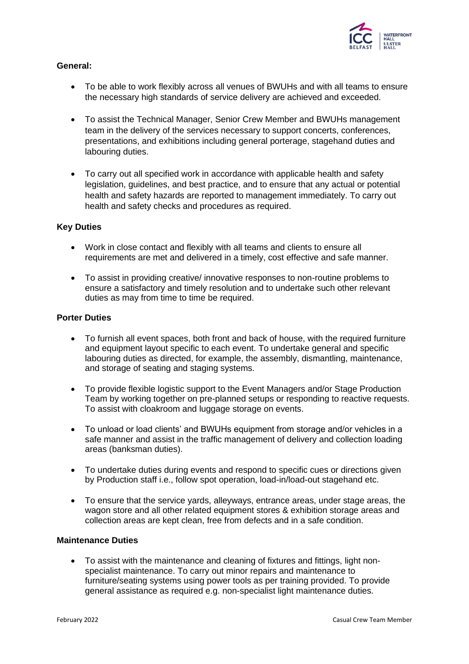

## **General:**

- To be able to work flexibly across all venues of BWUHs and with all teams to ensure the necessary high standards of service delivery are achieved and exceeded.
- To assist the Technical Manager, Senior Crew Member and BWUHs management team in the delivery of the services necessary to support concerts, conferences, presentations, and exhibitions including general porterage, stagehand duties and labouring duties.
- To carry out all specified work in accordance with applicable health and safety legislation, guidelines, and best practice, and to ensure that any actual or potential health and safety hazards are reported to management immediately. To carry out health and safety checks and procedures as required.

### **Key Duties**

- Work in close contact and flexibly with all teams and clients to ensure all requirements are met and delivered in a timely, cost effective and safe manner.
- To assist in providing creative/ innovative responses to non-routine problems to ensure a satisfactory and timely resolution and to undertake such other relevant duties as may from time to time be required.

## **Porter Duties**

- To furnish all event spaces, both front and back of house, with the required furniture and equipment layout specific to each event. To undertake general and specific labouring duties as directed, for example, the assembly, dismantling, maintenance, and storage of seating and staging systems.
- To provide flexible logistic support to the Event Managers and/or Stage Production Team by working together on pre-planned setups or responding to reactive requests. To assist with cloakroom and luggage storage on events.
- To unload or load clients' and BWUHs equipment from storage and/or vehicles in a safe manner and assist in the traffic management of delivery and collection loading areas (banksman duties).
- To undertake duties during events and respond to specific cues or directions given by Production staff i.e., follow spot operation, load-in/load-out stagehand etc.
- To ensure that the service yards, alleyways, entrance areas, under stage areas, the wagon store and all other related equipment stores & exhibition storage areas and collection areas are kept clean, free from defects and in a safe condition.

## **Maintenance Duties**

• To assist with the maintenance and cleaning of fixtures and fittings, light nonspecialist maintenance. To carry out minor repairs and maintenance to furniture/seating systems using power tools as per training provided. To provide general assistance as required e.g. non-specialist light maintenance duties.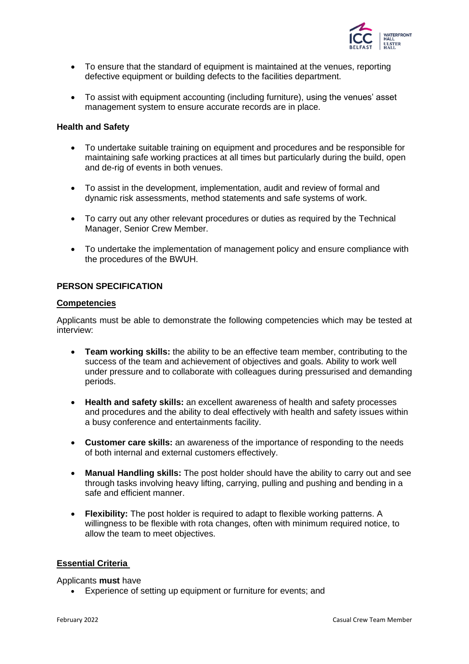

- To ensure that the standard of equipment is maintained at the venues, reporting defective equipment or building defects to the facilities department.
- To assist with equipment accounting (including furniture), using the venues' asset management system to ensure accurate records are in place.

### **Health and Safety**

- To undertake suitable training on equipment and procedures and be responsible for maintaining safe working practices at all times but particularly during the build, open and de-rig of events in both venues.
- To assist in the development, implementation, audit and review of formal and dynamic risk assessments, method statements and safe systems of work.
- To carry out any other relevant procedures or duties as required by the Technical Manager, Senior Crew Member.
- To undertake the implementation of management policy and ensure compliance with the procedures of the BWUH.

### **PERSON SPECIFICATION**

#### **Competencies**

Applicants must be able to demonstrate the following competencies which may be tested at interview:

- **Team working skills:** the ability to be an effective team member, contributing to the success of the team and achievement of objectives and goals. Ability to work well under pressure and to collaborate with colleagues during pressurised and demanding periods.
- **Health and safety skills:** an excellent awareness of health and safety processes and procedures and the ability to deal effectively with health and safety issues within a busy conference and entertainments facility.
- **Customer care skills:** an awareness of the importance of responding to the needs of both internal and external customers effectively.
- **Manual Handling skills:** The post holder should have the ability to carry out and see through tasks involving heavy lifting, carrying, pulling and pushing and bending in a safe and efficient manner.
- **Flexibility:** The post holder is required to adapt to flexible working patterns. A willingness to be flexible with rota changes, often with minimum required notice, to allow the team to meet objectives.

#### **Essential Criteria**

Applicants **must** have

• Experience of setting up equipment or furniture for events; and